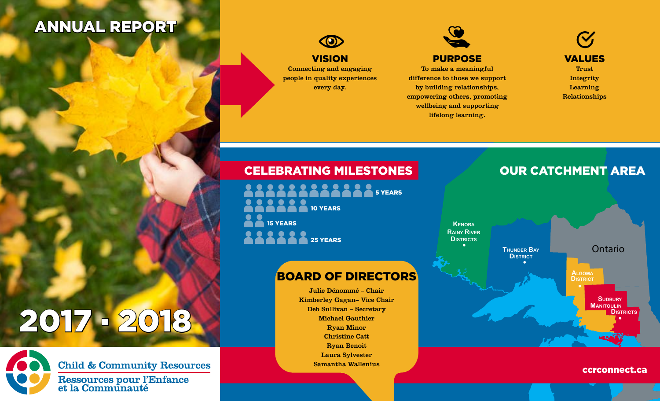# ANNUAL REPORT



Connecting and engaging people in quality experiences every day.



To make a meaningful difference to those we support by building relationships, empowering others, promoting wellbeing and supporting lifelong learning.

 $\mathbf{V}_{\mathbf{J}}$ VALUES Trust Integrity Learning Relationships

### CELEBRATING MILESTONES **OUR CATCHMENT AREA**

15 YEARS **25 YEARS SOCIOLOGICA DE STEARS 10 YEARS** 

## BOARD OF DIRECTORS

Julie Dénommé – Chair Kimberley Gagan– Vice Chair Deb Sullivan – Secretary Michael Gauthier Ryan Minor Christine Catt Ryan Benoit Laura Sylvester Samantha Wallenius

Ontario • **Districts** Distric<br> **• Distric** • **Districts Kenora Rainy River Thunder Bay Algoma SUDBURY Manitoulin**

#### ccrconnect.ca

# 2017 . 2018



**Child & Community Resources** 

Ressources pour l'Enfance<br>et la Communauté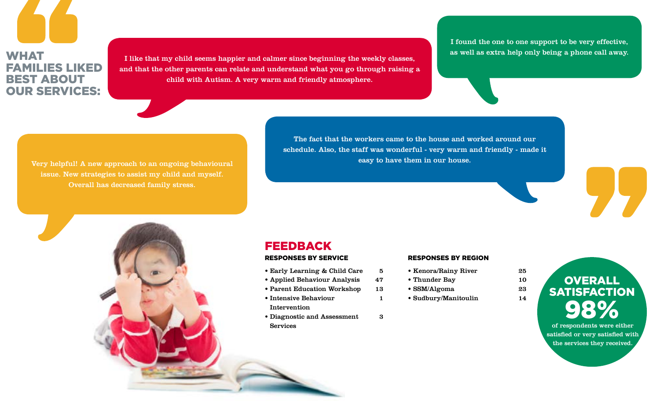# **WHAT** FAMILIES LIKED BEST ABOUT OUR SERVICES:

I like that my child seems happier and calmer since beginning the weekly classes, and that the other parents can relate and understand what you go through raising a child with Autism. A very warm and friendly atmosphere.

I found the one to one support to be very effective, as well as extra help only being a phone call away.

issue. New strategies to assist my child and myself. Overall has decreased family stress.

The fact that the workers came to the house and worked around our schedule. Also, the staff was wonderful - very warm and friendly - made it easy to have them in our house. Very helpful! A new approach to an ongoing behavioural

#### FEEDBACK RESPONSES BY SERVICE

- Early Learning & Child Care 5
- Applied Behaviour Analysis 47
- Parent Education Workshop 13
- Intensive Behaviour 1 Intervention
- Diagnostic and Assessment 3 Services

#### RESPONSES BY REGION

- Kenora/Rainy River 25
- Thunder Bay 10
- SSM/Algoma 23
- Sudbury/Manitoulin 14



of respondents were either satisfied or very satisfied with the services they received.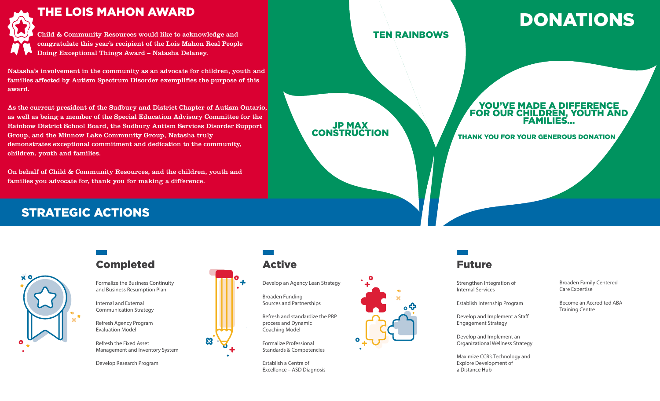

#### THE LOIS MAHON AWARD

Child & Community Resources would like to acknowledge and congratulate this year's recipient of the Lois Mahon Real People Doing Exceptional Things Award – Natasha Delaney.

Natasha's involvement in the community as an advocate for children, youth and families affected by Autism Spectrum Disorder exemplifies the purpose of this award.

As the current president of the Sudbury and District Chapter of Autism Ontario, as well as being a member of the Special Education Advisory Committee for the Rainbow District School Board, the Sudbury Autism Services Disorder Support Group, and the Minnow Lake Community Group, Natasha truly demonstrates exceptional commitment and dedication to the community, children, youth and families.

On behalf of Child & Community Resources, and the children, youth and families you advocate for, thank you for making a difference.

# JEJ...<br>Jeografia THANK YOU FOR YOUR GENEROUS DONATION 98% DONATIONS TEN RAINBOWS JP MAX **CONSTRUCTION** YOU'VE MADE A DIFFERENCE FOR OUR CHILDREN, YOUTH AND FAMILIES…

## STRATEGIC ACTIONS



## Completed **Active Active Future**

Formalize the Business Continuity and Business Resumption Plan

Internal and External Communication Strategy

Refresh Agency Program Evaluation Model

Refresh the Fixed Asset Management and Inventory System

Develop Research Program



Develop an Agency Lean Strategy

Broaden Funding Sources and Partnerships

Refresh and standardize the PRP process and Dynamic Coaching Model

Formalize Professional Standards & Competencies

Establish a Centre of Excellence – ASD Diagnosis



Strengthen Integration of Internal Services

Establish Internship Program

Develop and Implement a Staff Engagement Strategy

Develop and Implement an Organizational Wellness Strategy

Maximize CCR's Technology and Explore Development of a Distance Hub

Broaden Family Centered Care Expertise

Become an Accredited ABA Training Centre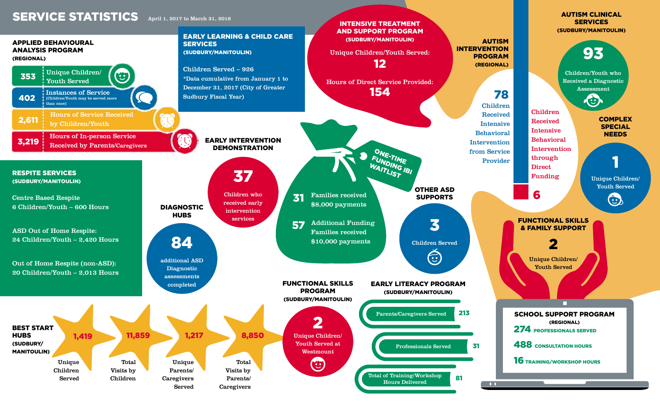#### April 1, 2017 to March 31, 2018





SERVICES (SUDBURY/MANITOULIN)

AUTISM